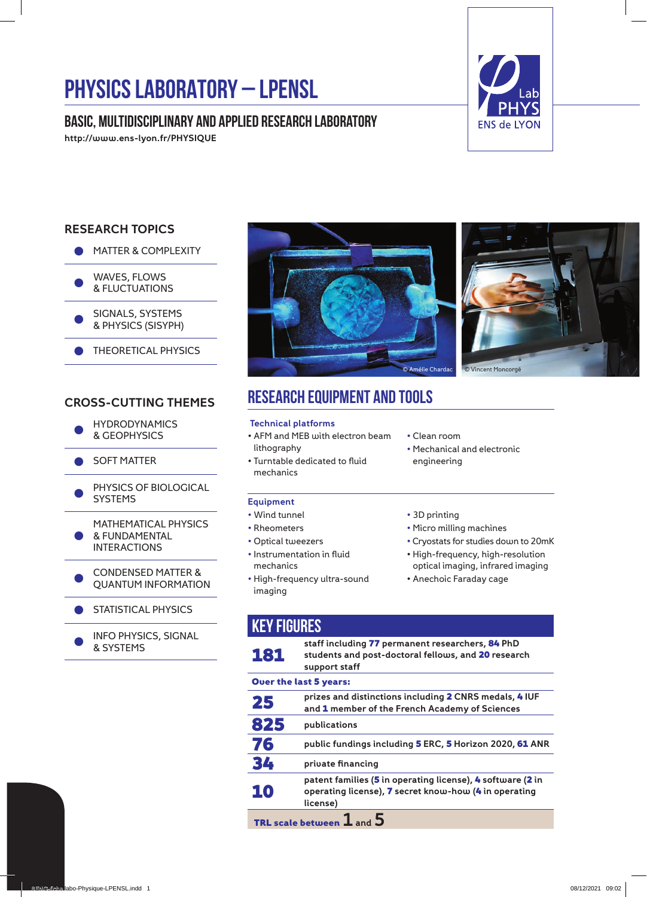# **PHYSICS LABORATORY – LPENSL**

# **Basic, multidisciplinary and applied research laboratory**

http://www.ens-lyon.fr/PHYSIQUE



## RESEARCH TOPICS





SIGNALS, SYSTEMS & PHYSICS (SISYPH)

THEORETICAL PHYSICS

## CROSS-CUTTING THEMES

- **HYDRODYNAMICS** & GEOPHYSICS
- **SOFT MATTER**
- PHYSICS OF BIOLOGICAL SYSTEMS

● MATHEMATICAL PHYSICS & FUNDAMENTAL INTERACTIONS

CONDENSED MATTER & QUANTUM INFORMATION

- STATISTICAL PHYSICS
- INFO PHYSICS, SIGNAL & SYSTEMS



# **Research equipment and tools**

#### Technical platforms

- AFM and MEB with electron beam lithography
- Turntable dedicated to fluid mechanics

#### Equipment

- Wind tunnel
- Rheometers
- Optical tweezers
- Instrumentation in fluid mechanics
- High-frequency ultra-sound imaging
- Clean room
- Mechanical and electronic engineering
- 3D printing
- Micro milling machines
- Cryostats for studies down to 20mK
- High-frequency, high-resolution optical imaging, infrared imaging
- Anechoic Faraday cage

| <b>KEY FIGURES</b>            |                                                                                                                                 |
|-------------------------------|---------------------------------------------------------------------------------------------------------------------------------|
| 181                           | staff including 77 permanent researchers, 84 PhD<br>students and post-doctoral fellows, and 20 research<br>support staff        |
| <b>Over the last 5 years:</b> |                                                                                                                                 |
| 25                            | prizes and distinctions including 2 CNRS medals, 4 IUF<br>and 1 member of the French Academy of Sciences                        |
| 825                           | publications                                                                                                                    |
| 76                            | public fundings including <b>5</b> ERC, <b>5</b> Horizon 2020, <b>61</b> ANR                                                    |
| 34                            | private financing                                                                                                               |
| 10                            | patent families (5 in operating license), 4 software (2 in<br>operating license), 7 secret know-how (4 in operating<br>license) |
| TRL scale between $1$ and $5$ |                                                                                                                                 |